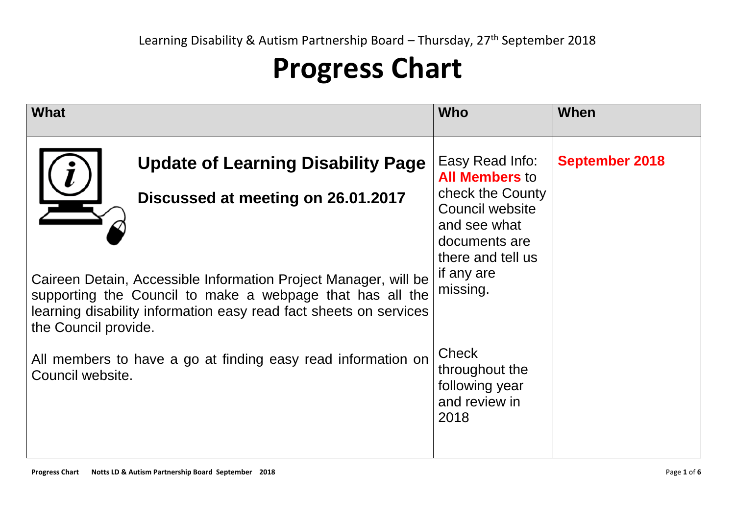## **Progress Chart**

| What                                                                                                                                                                                                                      | <b>Who</b>                                                                                                       | When                  |
|---------------------------------------------------------------------------------------------------------------------------------------------------------------------------------------------------------------------------|------------------------------------------------------------------------------------------------------------------|-----------------------|
| <b>Update of Learning Disability Page</b><br>Discussed at meeting on 26.01.2017                                                                                                                                           | Easy Read Info:<br><b>All Members to</b><br>check the County<br>Council website<br>and see what<br>documents are | <b>September 2018</b> |
| Caireen Detain, Accessible Information Project Manager, will be<br>supporting the Council to make a webpage that has all the<br>learning disability information easy read fact sheets on services<br>the Council provide. | there and tell us<br>if any are<br>missing.                                                                      |                       |
| All members to have a go at finding easy read information on<br>Council website.                                                                                                                                          | <b>Check</b><br>throughout the<br>following year<br>and review in<br>2018                                        |                       |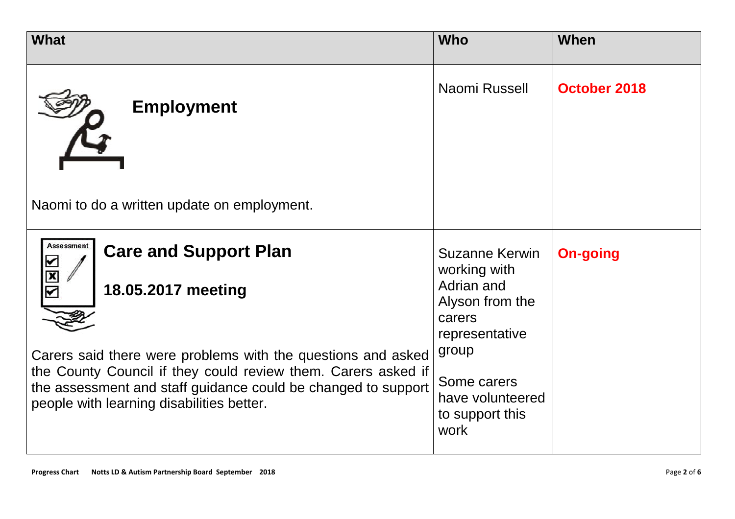| <b>What</b>                                                                                                                                                                                                                                                                                                            | <b>Who</b>                                                                                                                                                                | When            |
|------------------------------------------------------------------------------------------------------------------------------------------------------------------------------------------------------------------------------------------------------------------------------------------------------------------------|---------------------------------------------------------------------------------------------------------------------------------------------------------------------------|-----------------|
| <b>Employment</b><br>Naomi to do a written update on employment.                                                                                                                                                                                                                                                       | Naomi Russell                                                                                                                                                             | October 2018    |
| <b>Assessment</b><br><b>Care and Support Plan</b><br>18.05.2017 meeting<br>Carers said there were problems with the questions and asked<br>the County Council if they could review them. Carers asked if<br>the assessment and staff guidance could be changed to support<br>people with learning disabilities better. | <b>Suzanne Kerwin</b><br>working with<br>Adrian and<br>Alyson from the<br>carers<br>representative<br>group<br>Some carers<br>have volunteered<br>to support this<br>work | <b>On-going</b> |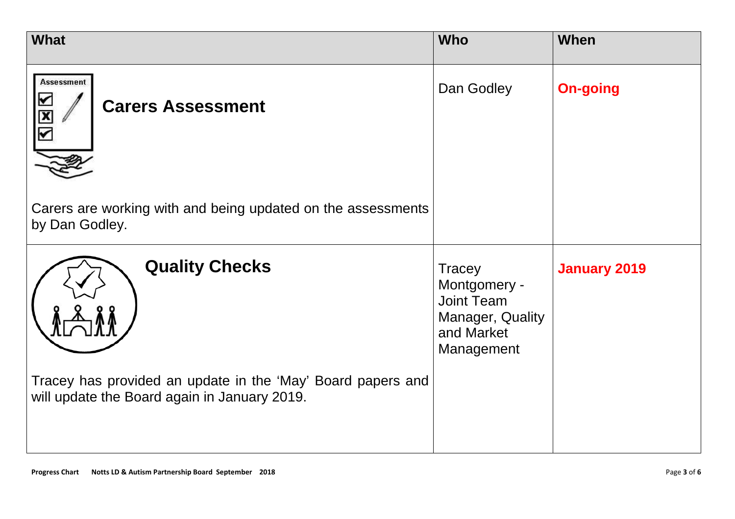| <b>What</b>                                                                                                                          | <b>Who</b>                                                                                         | <b>When</b>         |
|--------------------------------------------------------------------------------------------------------------------------------------|----------------------------------------------------------------------------------------------------|---------------------|
| <b>Assessment</b><br><b>Carers Assessment</b><br>$\frac{\mathbf{x}}{\mathbf{y}}$                                                     | Dan Godley                                                                                         | <b>On-going</b>     |
| Carers are working with and being updated on the assessments<br>by Dan Godley.                                                       |                                                                                                    |                     |
| <b>Quality Checks</b><br>Tracey has provided an update in the 'May' Board papers and<br>will update the Board again in January 2019. | <b>Tracey</b><br>Montgomery -<br><b>Joint Team</b><br>Manager, Quality<br>and Market<br>Management | <b>January 2019</b> |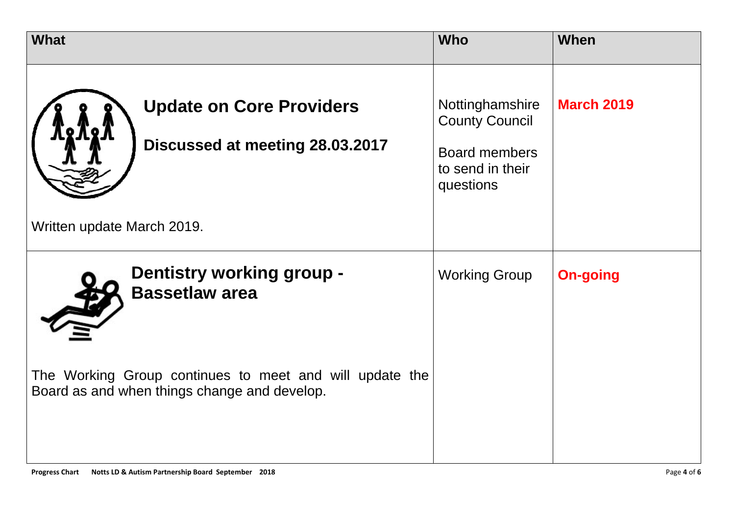| <b>What</b>                                                                                             | <b>Who</b>                                                                                        | When              |
|---------------------------------------------------------------------------------------------------------|---------------------------------------------------------------------------------------------------|-------------------|
| <b>Update on Core Providers</b><br>Discussed at meeting 28.03.2017                                      | Nottinghamshire<br><b>County Council</b><br><b>Board members</b><br>to send in their<br>questions | <b>March 2019</b> |
| Written update March 2019.                                                                              |                                                                                                   |                   |
| <b>Dentistry working group -</b><br><b>Bassetlaw area</b>                                               | <b>Working Group</b>                                                                              | <b>On-going</b>   |
| The Working Group continues to meet and will update the<br>Board as and when things change and develop. |                                                                                                   |                   |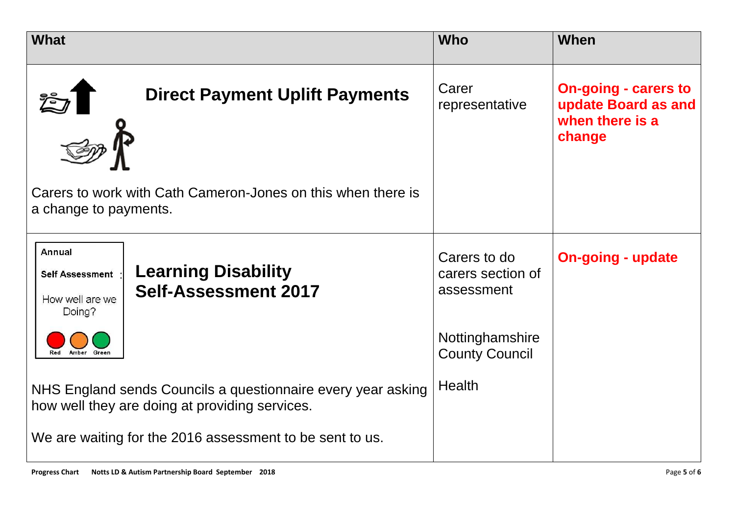| <b>What</b>                                                                                                                       | <b>Who</b>                                      | When                                                                            |
|-----------------------------------------------------------------------------------------------------------------------------------|-------------------------------------------------|---------------------------------------------------------------------------------|
| <b>Direct Payment Uplift Payments</b>                                                                                             | Carer<br>representative                         | <b>On-going - carers to</b><br>update Board as and<br>when there is a<br>change |
| Carers to work with Cath Cameron-Jones on this when there is<br>a change to payments.                                             |                                                 |                                                                                 |
| <b>Annual</b><br><b>Learning Disability</b><br><b>Self Assessment</b><br><b>Self-Assessment 2017</b><br>How well are we<br>Doing? | Carers to do<br>carers section of<br>assessment | <b>On-going - update</b>                                                        |
| Amber Green<br>Red                                                                                                                | Nottinghamshire<br><b>County Council</b>        |                                                                                 |
| NHS England sends Councils a questionnaire every year asking<br>how well they are doing at providing services.                    | <b>Health</b>                                   |                                                                                 |
| We are waiting for the 2016 assessment to be sent to us.                                                                          |                                                 |                                                                                 |